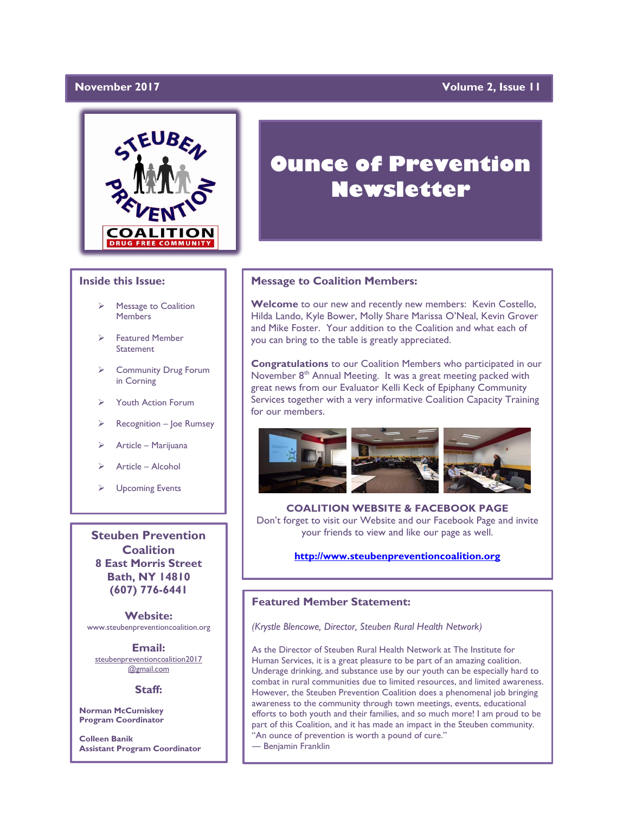# November 2017

# **Volume 2, Issue 11**



## **Inside this Issue:**

- Message to Coalition **Members**
- ➢ Featured Member **Statement**
- ➢ Community Drug Forum in Corning
- ➢ Youth Action Forum
- ➢ Recognition Joe Rumsey
- ➢ Article Marijuana
- ➢ Article Alcohol
- ➢ Upcoming Events

**Steuben Prevention Coalition 8 East Morris Street Bath, NY 14810 (607) 776-6441**

**Website:**  www.steubenpreventioncoalition.org

**Email:**  steubenpreventioncoalition2017 @gmail.com

### **Staff:**

**Norman McCumiskey Program Coordinator**

**Colleen Banik Assistant Program Coordinator**

# **Ounce of Prevention Newsletter**

### **Message to Coalition Members:**

**Welcome** to our new and recently new members: Kevin Costello, Hilda Lando, Kyle Bower, Molly Share Marissa O'Neal, Kevin Grover and Mike Foster. Your addition to the Coalition and what each of you can bring to the table is greatly appreciated.

**Congratulations** to our Coalition Members who participated in our November 8<sup>th</sup> Annual Meeting. It was a great meeting packed with great news from our Evaluator Kelli Keck of Epiphany Community Services together with a very informative Coalition Capacity Training for our members.



**COALITION WEBSITE & FACEBOOK PAGE** Don't forget to visit our Website and our Facebook Page and invite your friends to view and like our page as well.

# **[http://www.steubenpreventioncoalition.org](http://www.steubenpreventioncoalition.org/)**

## **Featured Member Statement:**

*(Krystle Blencowe, Director, Steuben Rural Health Network)*

As the Director of Steuben Rural Health Network at The Institute for Human Services, it is a great pleasure to be part of an amazing coalition. Underage drinking, and substance use by our youth can be especially hard to combat in rural communities due to limited resources, and limited awareness. However, the Steuben Prevention Coalition does a phenomenal job bringing awareness to the community through town meetings, events, educational efforts to both youth and their families, and so much more! I am proud to be part of this Coalition, and it has made an impact in the Steuben community. "An ounce of prevention is worth a pound of cure."

― Benjamin Franklin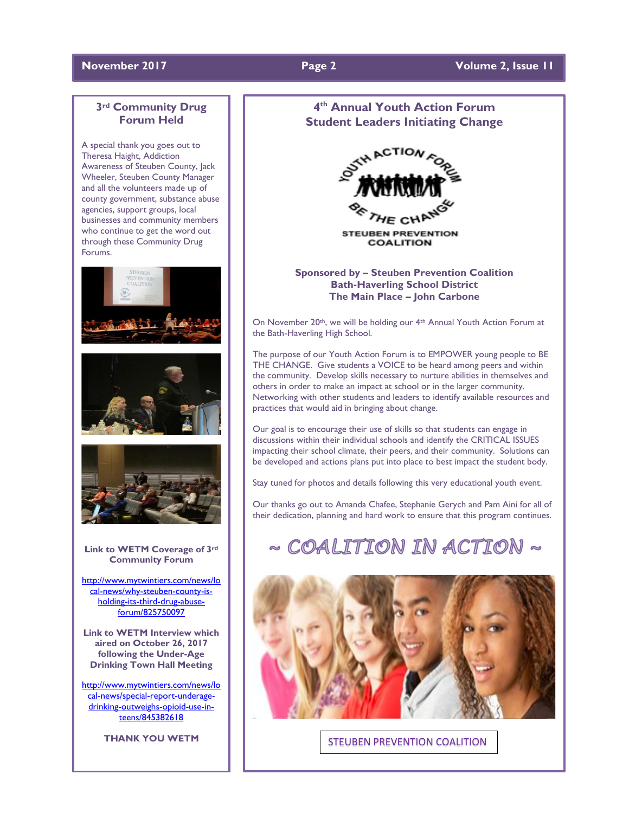## **November 2017 Page 2 Volume 2, Issue 11**

# **3rd Community Drug Forum Held**

A special thank you goes out to Theresa Haight, Addiction Awareness of Steuben County, Jack Wheeler, Steuben County Manager and all the volunteers made up of county government, substance abuse agencies, support groups, local businesses and community members who continue to get the word out through these Community Drug Forums.







**Link to WETM Coverage of 3rd Community Forum**

[http://www.mytwintiers.com/news/lo](http://www.mytwintiers.com/news/local-news/why-steuben-county-is-holding-its-third-drug-abuse-forum/825750097) [cal-news/why-steuben-county-is](http://www.mytwintiers.com/news/local-news/why-steuben-county-is-holding-its-third-drug-abuse-forum/825750097)[holding-its-third-drug-abuse](http://www.mytwintiers.com/news/local-news/why-steuben-county-is-holding-its-third-drug-abuse-forum/825750097)[forum/825750097](http://www.mytwintiers.com/news/local-news/why-steuben-county-is-holding-its-third-drug-abuse-forum/825750097)

**Link to WETM Interview which aired on October 26, 2017 following the Under-Age Drinking Town Hall Meeting**

[http://www.mytwintiers.com/news/lo](http://www.mytwintiers.com/news/local-news/special-report-underage-drinking-outweighs-opioid-use-in-teens/845382618) [cal-news/special-report-underage](http://www.mytwintiers.com/news/local-news/special-report-underage-drinking-outweighs-opioid-use-in-teens/845382618)[drinking-outweighs-opioid-use-in](http://www.mytwintiers.com/news/local-news/special-report-underage-drinking-outweighs-opioid-use-in-teens/845382618)[teens/845382618](http://www.mytwintiers.com/news/local-news/special-report-underage-drinking-outweighs-opioid-use-in-teens/845382618)

**THANK YOU WETM**

# **4 th Annual Youth Action Forum Student Leaders Initiating Change**



**STEUBEN PREVENTION COALITION** 

**Sponsored by – Steuben Prevention Coalition Bath-Haverling School District The Main Place – John Carbone**

On November 20<sup>th</sup>, we will be holding our 4<sup>th</sup> Annual Youth Action Forum at the Bath-Haverling High School.

The purpose of our Youth Action Forum is to EMPOWER young people to BE THE CHANGE. Give students a VOICE to be heard among peers and within the community. Develop skills necessary to nurture abilities in themselves and others in order to make an impact at school or in the larger community. Networking with other students and leaders to identify available resources and practices that would aid in bringing about change.

Our goal is to encourage their use of skills so that students can engage in discussions within their individual schools and identify the CRITICAL ISSUES impacting their school climate, their peers, and their community. Solutions can be developed and actions plans put into place to best impact the student body.

Stay tuned for photos and details following this very educational youth event.

Our thanks go out to Amanda Chafee, Stephanie Gerych and Pam Aini for all of their dedication, planning and hard work to ensure that this program continues.

# $\sim$  COALITION IN ACTION  $\sim$



STEUBEN PREVENTION COALITION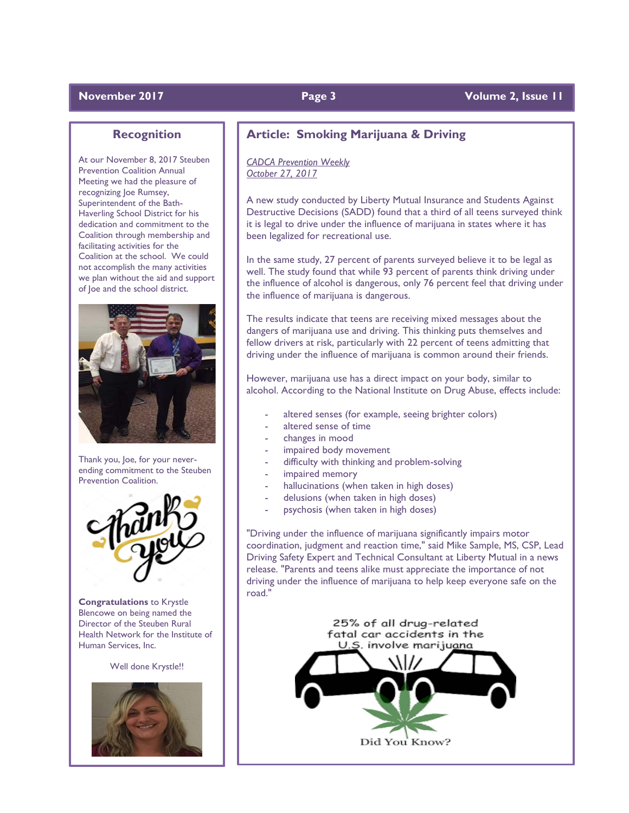# **November 2017 Page 3 Volume 2, Issue 11**

# **Recognition**

At our November 8, 2017 Steuben Prevention Coalition Annual Meeting we had the pleasure of recognizing Joe Rumsey, Superintendent of the Bath-Haverling School District for his dedication and commitment to the Coalition through membership and facilitating activities for the Coalition at the school. We could not accomplish the many activities we plan without the aid and support of Joe and the school district.



Thank you, Joe, for your neverending commitment to the Steuben Prevention Coalition.



**Congratulations** to Krystle Blencowe on being named the Director of the Steuben Rural Health Network for the Institute of Human Services, Inc.

Well done Krystle!!



# **Article: Smoking Marijuana & Driving**

### *CADCA Prevention Weekly October 27, 2017*

A new study conducted by Liberty Mutual Insurance and Students Against Destructive Decisions (SADD) found that a third of all teens surveyed think it is legal to drive under the influence of marijuana in states where it has been legalized for recreational use.

In the same study, 27 percent of parents surveyed believe it to be legal as well. The study found that while 93 percent of parents think driving under the influence of alcohol is dangerous, only 76 percent feel that driving under the influence of marijuana is dangerous.

The results indicate that teens are receiving mixed messages about the dangers of marijuana use and driving. This thinking puts themselves and fellow drivers at risk, particularly with 22 percent of teens admitting that driving under the influence of marijuana is common around their friends.

However, marijuana use has a direct impact on your body, similar to alcohol. According to the National Institute on Drug Abuse, effects include:

- altered senses (for example, seeing brighter colors)
- altered sense of time
- changes in mood
- impaired body movement
- difficulty with thinking and problem-solving
- impaired memory
- hallucinations (when taken in high doses)
- delusions (when taken in high doses)
- psychosis (when taken in high doses)

"Driving under the influence of marijuana significantly impairs motor coordination, judgment and reaction time," said Mike Sample, MS, CSP, Lead Driving Safety Expert and Technical Consultant at Liberty Mutual in a news release. "Parents and teens alike must appreciate the importance of not driving under the influence of marijuana to help keep everyone safe on the road."